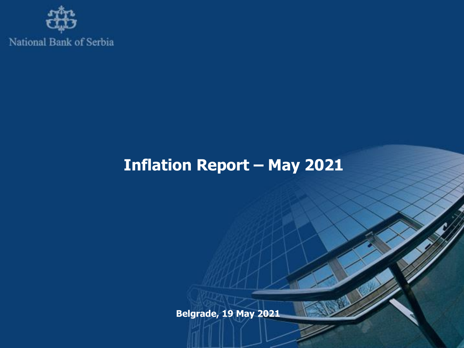

# **Inflation Report – May 2021**

**Belgrade, 19 May 2021**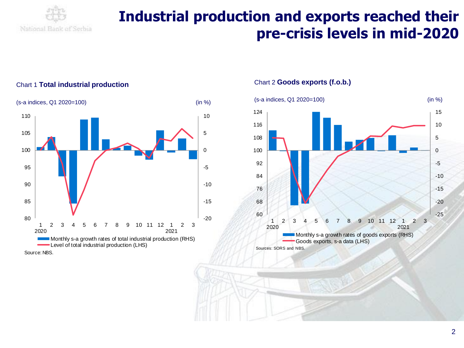

### **Industrial production and exports reached their pre-crisis levels in mid-2020**



#### Chart 1 **Total industrial production**

Chart 2 **Goods exports (f.o.b.)**

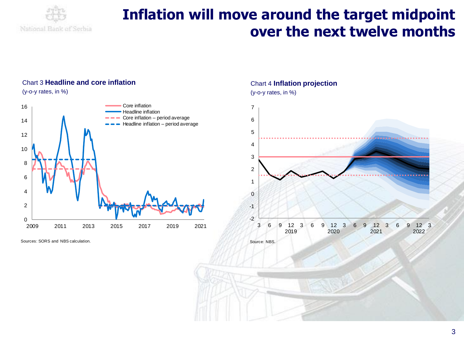

### **Inflation will move around the target midpoint over the next twelve months**

#### Chart 3 **Headline and core inflation** (y-o-y rates, in %)



Sources: SORS and NBS calculation.

#### Chart 4 **Inflation projection**

(y-o-y rates, in %)

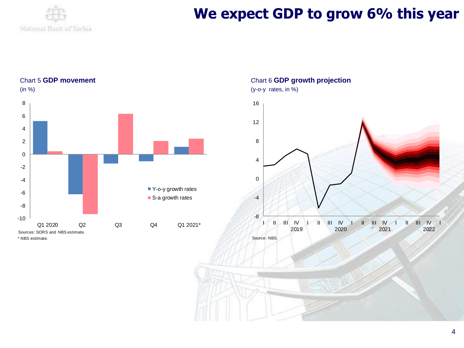

### We expect GDP to grow 6% this year

Chart 5 **GDP movement**



Chart 6 **GDP growth projection** (y-o-y rates, in %)

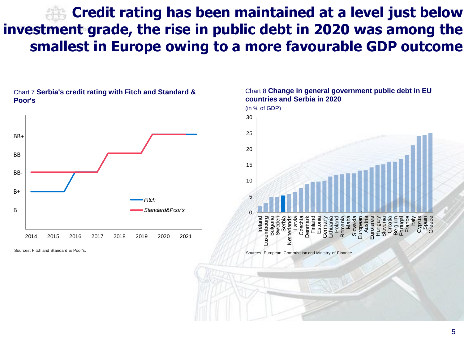## **Credit rating has been maintained at a level just below investment grade, the rise in public debt in 2020 was among the smallest in Europe owing to a more favourable GDP outcome**



Chart 7 **Serbia's credit rating with Fitch and Standard &** 

Sources: Fitch and Standard & Poor's.

**Poor's** 



Sources: European Commission and Ministry of Finance.

Chart 8 **Change in general government public debt in EU countries and Serbia in 2020**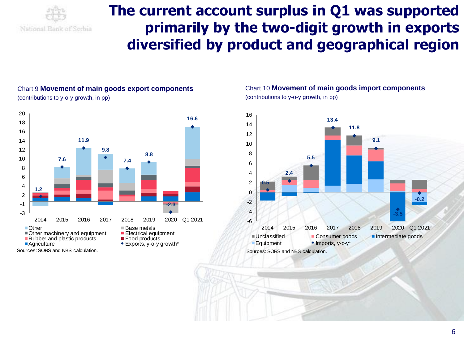

### **The current account surplus in Q1 was supported primarily by the two-digit growth in exports diversified by product and geographical region**

#### Chart 9 **Movement of main goods export components** (contributions to y-o-y growth, in pp)



#### Chart 10 **Movement of main goods import components** (contributions to y-o-y growth, in pp)

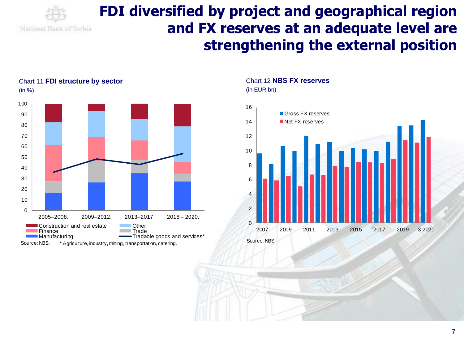

### **FDI diversified by project and geographical region and FX reserves at an adequate level are strengthening the external position**



#### Chart 11 **FDI structure by sector** (in %)

Chart 12 **NBS FX reserves**



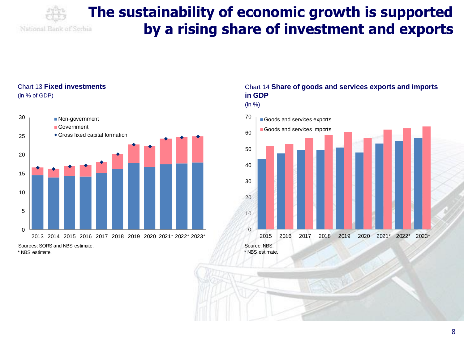

### **The sustainability of economic growth is supported by a rising share of investment and exports**

#### Chart 13 **Fixed investments** (in % of GDP)



#### Chart 14 **Share of goods and services exports and imports in GDP**

(in %)



\* NBS estimate.